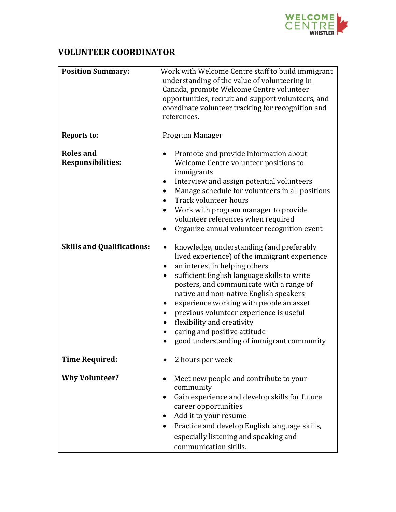

## **VOLUNTEER COORDINATOR**

| <b>Position Summary:</b>                     | Work with Welcome Centre staff to build immigrant<br>understanding of the value of volunteering in<br>Canada, promote Welcome Centre volunteer<br>opportunities, recruit and support volunteers, and<br>coordinate volunteer tracking for recognition and<br>references.                                                                                                                                                                                                                                             |
|----------------------------------------------|----------------------------------------------------------------------------------------------------------------------------------------------------------------------------------------------------------------------------------------------------------------------------------------------------------------------------------------------------------------------------------------------------------------------------------------------------------------------------------------------------------------------|
| <b>Reports to:</b>                           | Program Manager                                                                                                                                                                                                                                                                                                                                                                                                                                                                                                      |
| <b>Roles and</b><br><b>Responsibilities:</b> | Promote and provide information about<br>Welcome Centre volunteer positions to<br>immigrants<br>Interview and assign potential volunteers<br>Manage schedule for volunteers in all positions<br>$\bullet$<br>Track volunteer hours<br>Work with program manager to provide<br>$\bullet$<br>volunteer references when required<br>Organize annual volunteer recognition event                                                                                                                                         |
| <b>Skills and Qualifications:</b>            | knowledge, understanding (and preferably<br>$\bullet$<br>lived experience) of the immigrant experience<br>an interest in helping others<br>$\bullet$<br>sufficient English language skills to write<br>$\bullet$<br>posters, and communicate with a range of<br>native and non-native English speakers<br>experience working with people an asset<br>$\bullet$<br>previous volunteer experience is useful<br>flexibility and creativity<br>caring and positive attitude<br>good understanding of immigrant community |
| <b>Time Required:</b>                        | 2 hours per week                                                                                                                                                                                                                                                                                                                                                                                                                                                                                                     |
| <b>Why Volunteer?</b>                        | Meet new people and contribute to your<br>community<br>Gain experience and develop skills for future<br>career opportunities<br>Add it to your resume<br>$\bullet$<br>Practice and develop English language skills,<br>especially listening and speaking and<br>communication skills.                                                                                                                                                                                                                                |